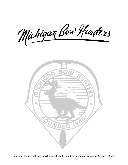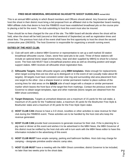### **FRED BEAR MEMORIAL BROADHEAD SILHOUETTE SHOOT GUIDELINES revised 2012**

This is an annual MBH activity in which Board members and Officers should attend. Any Governor willing to host this shoot in their district must bring a bid proposal from an affiliated club to the September board meeting. MBH affiliate clubs that desire to host the FBMBSS must have established broadhead pits on the course prior to placing a bid for the event. The club submitting to host this event must also be insured.

There should be no fees charged for the use of the site. The MBH board will decide where the shoot will be held, when the shoot will be held (second or third weekend of September) as well as registration times and shoot fees. The previous host club of the event shall have the first opportunity to host the shoot the second consecutive year (09/2003). The host Governor is responsible for organizing a smooth running event.

#### **DUTIES OF THE HOST CLUB:**

- 1) Club will work with a district MBH Governor or representative to set up a well marked 30 station broadhead silhouette course. Clean, stone free sand pits to be used. Three of these stations will include an optional bionic target (metal turkey, bear and deer supplied by MBH)) to shoot for a bonus score. The host club MUST have a broadhead practice area as well as shooting position and target support stakes. MBH receives all silhouette shoot registration fees.
- 2) **Silhouette Targets**. Make silhouette targets using **MBH templates**. Make enough for replacements when target scoring lines are too shot up to distinguish or in the event of rain (usually make about 90 targets). All targets must have consistent center vital ring and surrounding vital area placement from one target to the other. Use a sharpie brand or similar permanent marker to place outlines of the scoring lines for vital areas on the **BACK** side of each target with a sharpie or similar permanent marker which leaves the front face of the target free from markings. Contact the previous event host Governor to obtain target templates, tape and other materials (bionic targets are obtained from the MBH shoot committee).
- 3) **Target Distances.** Targets at unmarked distances are a maximum of 15 yards for the cub stake, a maximum of 25 yards for the Traditional stake, a maximum 30 yards for the Bowhunter Free Style & Bowhunter stake and a maximum of 40 yards for the Free Style Open stake.
- 4) **HOST CLUB CAN** choose to have a 3-D shoot, novelties or other activities to raise revenue for their club during the FBMBSS event. These activities are to be handled by the host club who keep the revenue generated.
- 5) **HOST CLUB CAN** provide food concessions to generate revenue for their club. If the is planning for a pig roast or dinner at this event and wishes it to be advertised in the MBH News, the MBH Governor of this district must be notified by the host club who will in turn work with the MBH News editor to have this information included in the advertising of this event.
- 6) **HOST CLUB MUST** have ample camping, parking and bathroom facilities. Host club may charge for camping – designate primitive and/or electric camp sites.
- 7) **HOST CLUB MUST** have a meeting with the MBH Shoot committee; district Governor to be included, no later than two weeks prior to the shoot date.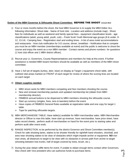### **Duties of the MBH Governor & Silhouette Shoot Committee:** BEFORE THE SHOOT **revised 2012**

- 1) Four or more months before the shoot, the host MBH Governor is to supply the MBH Editor ALL following information: Shoot date - Name of host club - Location and address (include map) - Shoot fees for individuals as well as weekend and family special fees - equipment classification levels - age classifications (adult, young adult, youth, cub) – Frank Scott Youth Memorial age groups (8 & under, 9- 12, 13-14) - Camping fees - Registration start and ending times - A list of area motel accommodations and restaurants - Host club notification for 3-D course, dinner, breakfast – Notification that to compete you must be an MBH member (memberships available at event) and the public is welcome to shoot the course and enjoy the event as a non MBH member - Contact names and phone numbers for questions (1 host club officer and 1 MBH district officer).
- 2) Recruit your Lt. Governors, County Representatives and members for help at this event. If further assistance is needed MBH board members should be available as well as members of the MBH shoot committee.
- 3) Have 1 full set of targets (turkey, deer, bear) on display at Target 1 equipment check table, with outlined vital areas marked on FRONT of each target for review of where the scoring lines are located on each target

## 4) **Obtain supplies needed:**

- $\triangleright$  MBH shoot cards for MBH members competing and Non members shooting the course.
- $\triangleright$  New and renewal membership packets and updated membership list (obtain from MBH) membership director).
- $\triangleright$  FBMBSS annual buttons to be dispersed to MBH members shooting the silhouette course.
- $\triangleright$  Start up currency (singles, fives, tens & twenties) before the event.
- Have copies of FBMBSS General Rules available at registration table and one copy for target 1 table.
- $\triangleright$  Tape for patching silhouette targets.
- 5) MBH MERCHANDISE TABLE: Have table(s) available for MBH merchandise sales. MBH Merchandise director or Officer to man this table, have start up revenue, have merchandise, have price sheet, have sales record sheets, perform audit of merchandise on hand for the event prior to starting sales and perform audit after event ends.
- 6) RANGE INSPECTION: to be performed by the district Governor and Shoot Committee member(s). Check for safe shooting lanes, stakes to be shooter friendly for right/left hand shooters, short/tall, and area near shooting stakes to be clear of obstacles which might impede archer or equipment. **NO** iron man shots, all distances to target to be clear with no obstacles in arrows path from archer to target (shooting between tree trunks, half of target covered by trees, brush, etc.).
- 7) During the year obtain raffle items for event. If unable to obtain enough items contact other Governors. Also check with Vice president who can authorize funds to purchase items.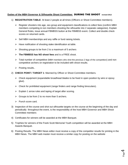### **Duties of the MBH Governor & Silhouette Shoot Committee:** DURING THE SHOOT **revised 2012**

- 1) **REGISTRATION TABLE**: At least 2 people at all times (Officers or Shoot Committee members).
	- $\triangleright$  Register shooters into age, sex group and equipment classifications & collect fees (confirm MBH) members competing & non members shooting the silhouette into 2 separate categories). Explain General Rules, issue annual FBMBSS button at the FBMBSS event. Collect and double check scores on returned cards.
	- $\triangleright$  Sell MBH memberships and any raffle or fund raising tickets.
	- $\triangleright$  Have notification of shooting stake identification at table.
	- $\triangleright$  Shooting groups to be from 2 to a maximum of 5 archers
	- **The FBMBSS has NO shoot fees** and is a FREE shoot.
	- $\triangleright$  Total number of competitive (MBH members who shot the previous 2 legs of the competition) and non competitive archers on registration to be included with shoot results.
	- $\triangleright$  Posting results..
- 2) **CHECK POINT / TARGET 1**: Manned by Officer or Shoot Committee members.
	- $\triangleright$  Check equipment (expandable broadhead blades to be fixed in open position by wire or epoxy glue).
	- $\triangleright$  Check for prohibited equipment (range finders and range finding binoculars).
	- $\triangleright$  Explain 1 arrow rules and taping of target after scoring.
	- $\triangleright$  Groups to be from 2 to no more than 5 archers.
	- $\triangleright$  Punch score card.
- 3) Inspection of the course and shot out silhouette targets on the course at the beginning of the day and periodically throughout the event, is the responsibility of the host MBH Governor and MBH Shoot Committee members
- 4) Certificates for winners will be awarded at the MBH Banquet.
- 5) Trophies for winners of the Frank Scott Memorial Youth competition will be awarded at the MBH Awards Banquet.
- 6) Posting Results. The MBH News editor must receive a copy of the competitor results for printing in the MBH News. The MBH web master must receive a similar copy for posting on the website